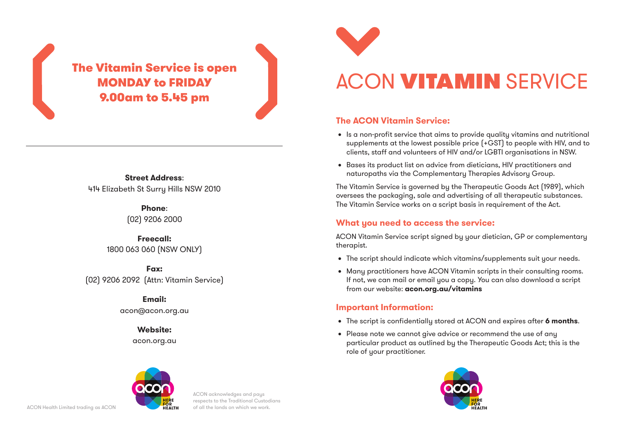MONDAY to FRIDAY 9.00am to 5.45 pm

**Street Address**: 414 Elizabeth St Surry Hills NSW 2010

> **Phone**: (02) 9206 2000

**Freecall:** 1800 063 060 (NSW ONLY)

**Fax:** (02) 9206 2092 (Attn: Vitamin Service)

> **Email:** acon@acon.org.au

> > **Website:** acon.org.au



# ACON **VITAMIN** SERVICE The Vitamin Service is open

#### **The ACON Vitamin Service:**

- Is a non-profit service that aims to provide quality vitamins and nutritional supplements at the lowest possible price (+GST) to people with HIV, and to clients, staff and volunteers of HIV and/or LGBTI organisations in NSW.
- • Bases its product list on advice from dieticians, HIV practitioners and naturopaths via the Complementary Therapies Advisory Group.

The Vitamin Service is governed by the Therapeutic Goods Act (1989), which oversees the packaging, sale and advertising of all therapeutic substances. The Vitamin Service works on a script basis in requirement of the Act.

#### **What you need to access the service:**

ACON Vitamin Service script signed by your dietician, GP or complementary therapist.

- The script should indicate which vitamins/supplements suit your needs.
- Many practitioners have ACON Vitamin scripts in their consulting rooms. If not, we can mail or email you a copy. You can also download a script from our website: **acon.org.au/vitamins**

### **Important Information:**

- • The script is confidentially stored at ACON and expires after **6 months**.
- Please note we cannot give advice or recommend the use of any particular product as outlined by the Therapeutic Goods Act; this is the role of your practitioner.





ACON acknowledges and pays respects to the Traditional Custodians